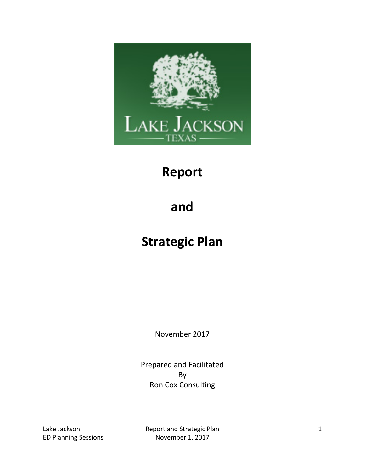

### **Report**

## **and**

## **Strategic Plan**

November 2017

Prepared and Facilitated By Ron Cox Consulting

Lake Jackson **Report and Strategic Plan** 1 ED Planning Sessions November 1, 2017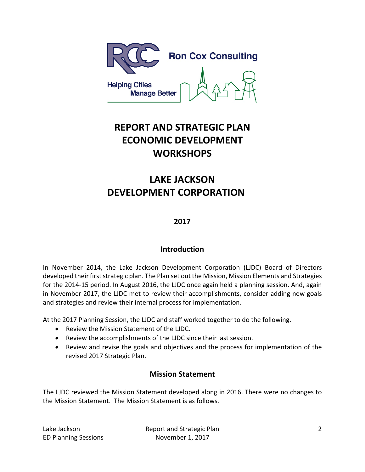

### **REPORT AND STRATEGIC PLAN ECONOMIC DEVELOPMENT WORKSHOPS**

### **LAKE JACKSON DEVELOPMENT CORPORATION**

#### **2017**

#### **Introduction**

In November 2014, the Lake Jackson Development Corporation (LJDC) Board of Directors developed their first strategic plan. The Plan set out the Mission, Mission Elements and Strategies for the 2014-15 period. In August 2016, the LJDC once again held a planning session. And, again in November 2017, the LJDC met to review their accomplishments, consider adding new goals and strategies and review their internal process for implementation.

At the 2017 Planning Session, the LJDC and staff worked together to do the following.

- Review the Mission Statement of the LJDC.
- Review the accomplishments of the LJDC since their last session.
- Review and revise the goals and objectives and the process for implementation of the revised 2017 Strategic Plan.

#### **Mission Statement**

The LJDC reviewed the Mission Statement developed along in 2016. There were no changes to the Mission Statement. The Mission Statement is as follows.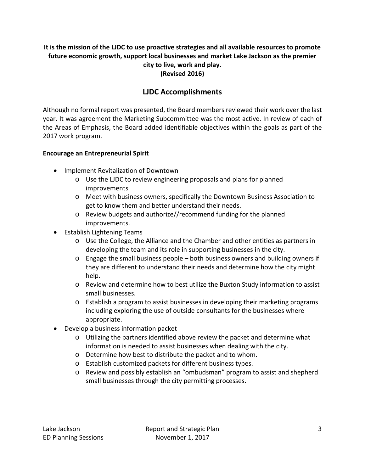#### **It is the mission of the LJDC to use proactive strategies and all available resources to promote future economic growth, support local businesses and market Lake Jackson as the premier city to live, work and play. (Revised 2016)**

#### **LJDC Accomplishments**

Although no formal report was presented, the Board members reviewed their work over the last year. It was agreement the Marketing Subcommittee was the most active. In review of each of the Areas of Emphasis, the Board added identifiable objectives within the goals as part of the 2017 work program.

#### **Encourage an Entrepreneurial Spirit**

- Implement Revitalization of Downtown
	- o Use the LJDC to review engineering proposals and plans for planned improvements
	- o Meet with business owners, specifically the Downtown Business Association to get to know them and better understand their needs.
	- o Review budgets and authorize//recommend funding for the planned improvements.
- Establish Lightening Teams
	- o Use the College, the Alliance and the Chamber and other entities as partners in developing the team and its role in supporting businesses in the city.
	- o Engage the small business people both business owners and building owners if they are different to understand their needs and determine how the city might help.
	- o Review and determine how to best utilize the Buxton Study information to assist small businesses.
	- o Establish a program to assist businesses in developing their marketing programs including exploring the use of outside consultants for the businesses where appropriate.
- Develop a business information packet
	- o Utilizing the partners identified above review the packet and determine what information is needed to assist businesses when dealing with the city.
	- o Determine how best to distribute the packet and to whom.
	- o Establish customized packets for different business types.
	- o Review and possibly establish an "ombudsman" program to assist and shepherd small businesses through the city permitting processes.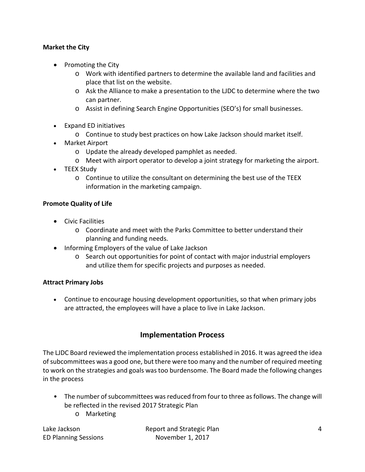#### **Market the City**

- Promoting the City
	- o Work with identified partners to determine the available land and facilities and place that list on the website.
	- o Ask the Alliance to make a presentation to the LJDC to determine where the two can partner.
	- o Assist in defining Search Engine Opportunities (SEO's) for small businesses.
- Expand ED initiatives
	- o Continue to study best practices on how Lake Jackson should market itself.
- Market Airport
	- o Update the already developed pamphlet as needed.
	- o Meet with airport operator to develop a joint strategy for marketing the airport.
- TEEX Study
	- o Continue to utilize the consultant on determining the best use of the TEEX information in the marketing campaign.

#### **Promote Quality of Life**

- Civic Facilities
	- o Coordinate and meet with the Parks Committee to better understand their planning and funding needs.
- Informing Employers of the value of Lake Jackson
	- o Search out opportunities for point of contact with major industrial employers and utilize them for specific projects and purposes as needed.

#### **Attract Primary Jobs**

• Continue to encourage housing development opportunities, so that when primary jobs are attracted, the employees will have a place to live in Lake Jackson.

#### **Implementation Process**

The LJDC Board reviewed the implementation process established in 2016. It was agreed the idea of subcommittees was a good one, but there were too many and the number of required meeting to work on the strategies and goals was too burdensome. The Board made the following changes in the process

- The number of subcommittees was reduced from four to three as follows. The change will be reflected in the revised 2017 Strategic Plan
	- o Marketing

ED Planning Sessions November 1, 2017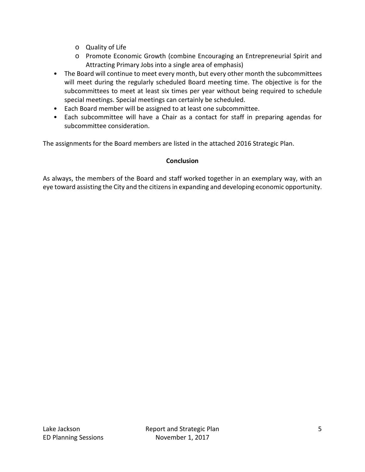- o Quality of Life
- o Promote Economic Growth (combine Encouraging an Entrepreneurial Spirit and Attracting Primary Jobs into a single area of emphasis)
- The Board will continue to meet every month, but every other month the subcommittees will meet during the regularly scheduled Board meeting time. The objective is for the subcommittees to meet at least six times per year without being required to schedule special meetings. Special meetings can certainly be scheduled.
- Each Board member will be assigned to at least one subcommittee.
- Each subcommittee will have a Chair as a contact for staff in preparing agendas for subcommittee consideration.

The assignments for the Board members are listed in the attached 2016 Strategic Plan.

#### **Conclusion**

As always, the members of the Board and staff worked together in an exemplary way, with an eye toward assisting the City and the citizens in expanding and developing economic opportunity.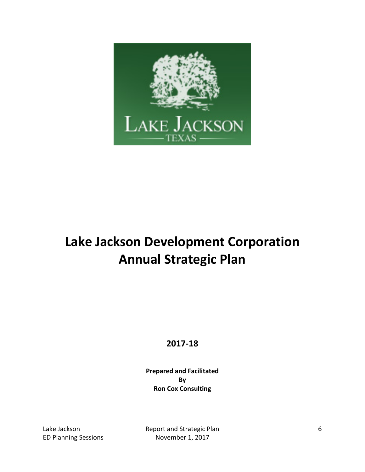

# **Lake Jackson Development Corporation Annual Strategic Plan**

### **2017-18**

**Prepared and Facilitated By Ron Cox Consulting**

Lake Jackson **Report and Strategic Plan** 6 ED Planning Sessions November 1, 2017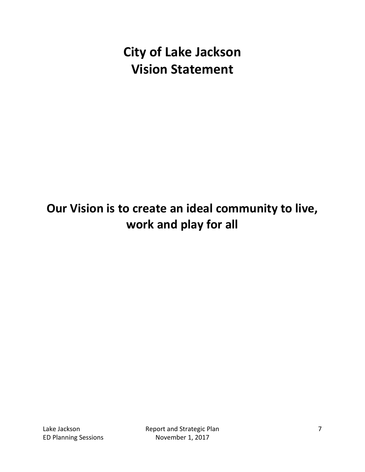**City of Lake Jackson Vision Statement**

## **Our Vision is to create an ideal community to live, work and play for all**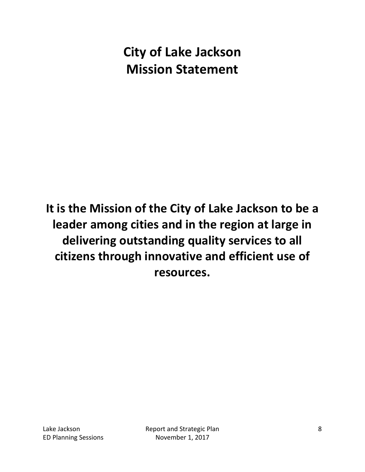# **City of Lake Jackson Mission Statement**

**It is the Mission of the City of Lake Jackson to be a leader among cities and in the region at large in delivering outstanding quality services to all citizens through innovative and efficient use of resources.**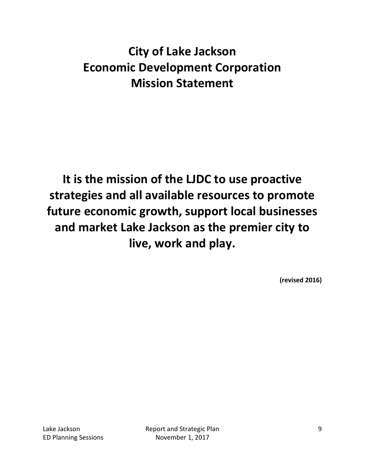## **City of Lake Jackson Economic Development Corporation Mission Statement**

**It is the mission of the LJDC to use proactive strategies and all available resources to promote future economic growth, support local businesses and market Lake Jackson as the premier city to live, work and play.**

**(revised 2016)**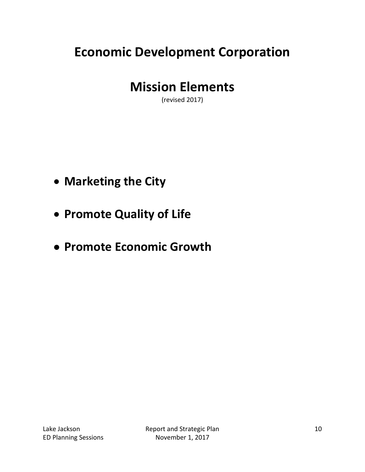# **Economic Development Corporation**

### **Mission Elements**

(revised 2017)

- **Marketing the City**
- **Promote Quality of Life**
- **Promote Economic Growth**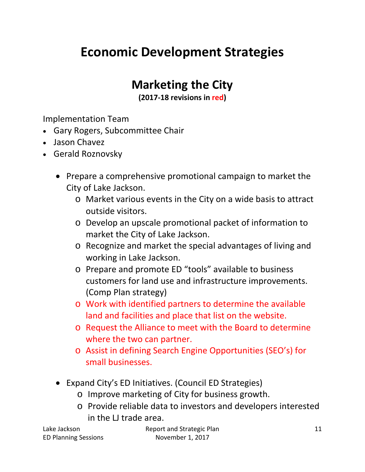# **Economic Development Strategies**

### **Marketing the City**

**(2017-18 revisions in red)**

Implementation Team

- Gary Rogers, Subcommittee Chair
- Jason Chavez
- Gerald Roznovsky
	- Prepare a comprehensive promotional campaign to market the City of Lake Jackson.
		- o Market various events in the City on a wide basis to attract outside visitors.
		- o Develop an upscale promotional packet of information to market the City of Lake Jackson.
		- o Recognize and market the special advantages of living and working in Lake Jackson.
		- o Prepare and promote ED "tools" available to business customers for land use and infrastructure improvements. (Comp Plan strategy)
		- o Work with identified partners to determine the available land and facilities and place that list on the website.
		- o Request the Alliance to meet with the Board to determine where the two can partner.
		- o Assist in defining Search Engine Opportunities (SEO's) for small businesses.
	- Expand City's ED Initiatives. (Council ED Strategies)
		- o Improve marketing of City for business growth.
		- o Provide reliable data to investors and developers interested in the LJ trade area.

ED Planning Sessions November 1, 2017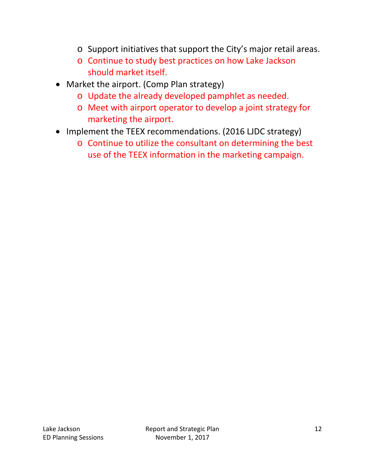- o Support initiatives that support the City's major retail areas.
- o Continue to study best practices on how Lake Jackson should market itself.
- Market the airport. (Comp Plan strategy)
	- o Update the already developed pamphlet as needed.
	- o Meet with airport operator to develop a joint strategy for marketing the airport.
- Implement the TEEX recommendations. (2016 LJDC strategy)
	- o Continue to utilize the consultant on determining the best use of the TEEX information in the marketing campaign.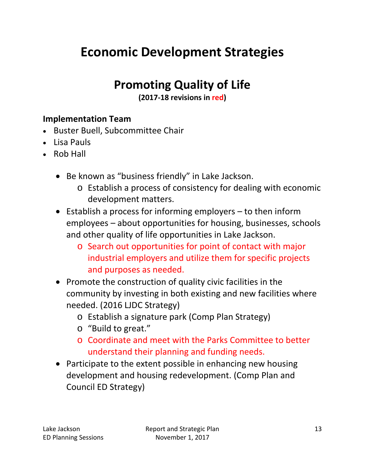# **Economic Development Strategies**

### **Promoting Quality of Life**

**(2017-18 revisions in red)**

### **Implementation Team**

- Buster Buell, Subcommittee Chair
- Lisa Pauls
- Rob Hall
	- Be known as "business friendly" in Lake Jackson.
		- o Establish a process of consistency for dealing with economic development matters.
	- Establish a process for informing employers to then inform employees – about opportunities for housing, businesses, schools and other quality of life opportunities in Lake Jackson.
		- o Search out opportunities for point of contact with major industrial employers and utilize them for specific projects and purposes as needed.
	- Promote the construction of quality civic facilities in the community by investing in both existing and new facilities where needed. (2016 LJDC Strategy)
		- o Establish a signature park (Comp Plan Strategy)
		- o "Build to great."
		- o Coordinate and meet with the Parks Committee to better understand their planning and funding needs.
	- Participate to the extent possible in enhancing new housing development and housing redevelopment. (Comp Plan and Council ED Strategy)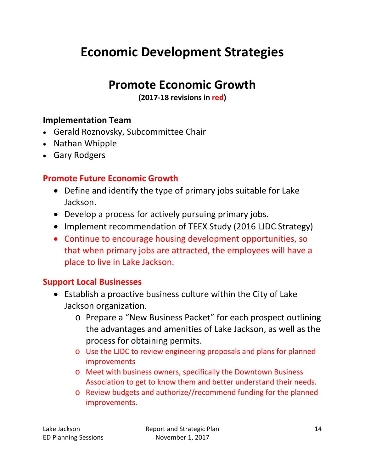# **Economic Development Strategies**

### **Promote Economic Growth**

**(2017-18 revisions in red)**

### **Implementation Team**

- Gerald Roznovsky, Subcommittee Chair
- Nathan Whipple
- Gary Rodgers

### **Promote Future Economic Growth**

- Define and identify the type of primary jobs suitable for Lake Jackson.
- Develop a process for actively pursuing primary jobs.
- Implement recommendation of TEEX Study (2016 LJDC Strategy)
- Continue to encourage housing development opportunities, so that when primary jobs are attracted, the employees will have a place to live in Lake Jackson.

#### **Support Local Businesses**

- Establish a proactive business culture within the City of Lake Jackson organization.
	- o Prepare a "New Business Packet" for each prospect outlining the advantages and amenities of Lake Jackson, as well as the process for obtaining permits.
	- o Use the LJDC to review engineering proposals and plans for planned improvements
	- o Meet with business owners, specifically the Downtown Business Association to get to know them and better understand their needs.
	- o Review budgets and authorize//recommend funding for the planned improvements.